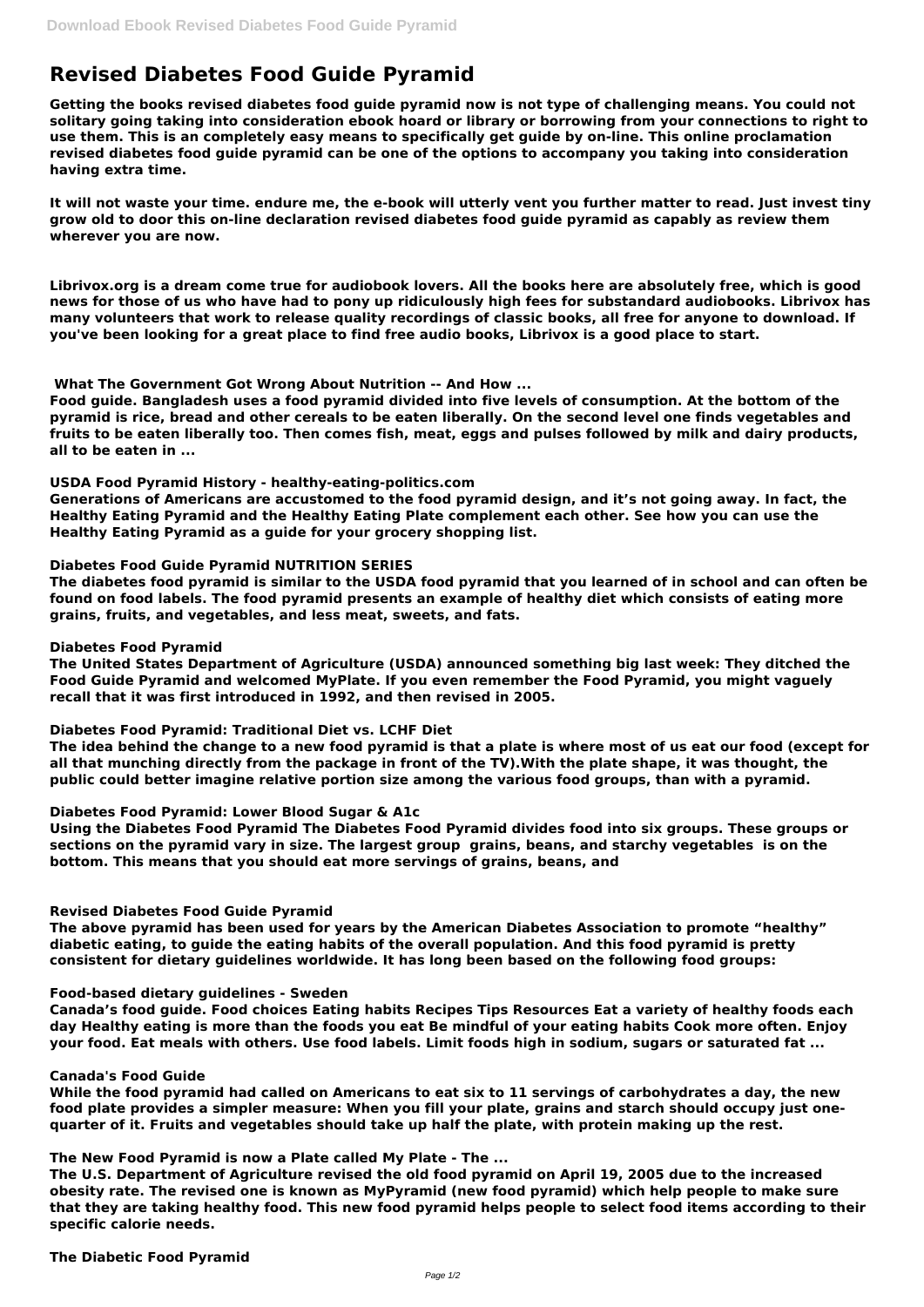# **Revised Diabetes Food Guide Pyramid**

**Getting the books revised diabetes food guide pyramid now is not type of challenging means. You could not solitary going taking into consideration ebook hoard or library or borrowing from your connections to right to use them. This is an completely easy means to specifically get guide by on-line. This online proclamation revised diabetes food guide pyramid can be one of the options to accompany you taking into consideration having extra time.**

**It will not waste your time. endure me, the e-book will utterly vent you further matter to read. Just invest tiny grow old to door this on-line declaration revised diabetes food guide pyramid as capably as review them wherever you are now.**

**Librivox.org is a dream come true for audiobook lovers. All the books here are absolutely free, which is good news for those of us who have had to pony up ridiculously high fees for substandard audiobooks. Librivox has many volunteers that work to release quality recordings of classic books, all free for anyone to download. If you've been looking for a great place to find free audio books, Librivox is a good place to start.**

**What The Government Got Wrong About Nutrition -- And How ...**

**Food guide. Bangladesh uses a food pyramid divided into five levels of consumption. At the bottom of the pyramid is rice, bread and other cereals to be eaten liberally. On the second level one finds vegetables and fruits to be eaten liberally too. Then comes fish, meat, eggs and pulses followed by milk and dairy products, all to be eaten in ...**

## **USDA Food Pyramid History - healthy-eating-politics.com**

**Generations of Americans are accustomed to the food pyramid design, and it's not going away. In fact, the Healthy Eating Pyramid and the Healthy Eating Plate complement each other. See how you can use the Healthy Eating Pyramid as a guide for your grocery shopping list.**

# **Diabetes Food Guide Pyramid NUTRITION SERIES**

**The diabetes food pyramid is similar to the USDA food pyramid that you learned of in school and can often be found on food labels. The food pyramid presents an example of healthy diet which consists of eating more grains, fruits, and vegetables, and less meat, sweets, and fats.**

#### **Diabetes Food Pyramid**

**The United States Department of Agriculture (USDA) announced something big last week: They ditched the Food Guide Pyramid and welcomed MyPlate. If you even remember the Food Pyramid, you might vaguely recall that it was first introduced in 1992, and then revised in 2005.**

# **Diabetes Food Pyramid: Traditional Diet vs. LCHF Diet**

**The idea behind the change to a new food pyramid is that a plate is where most of us eat our food (except for all that munching directly from the package in front of the TV).With the plate shape, it was thought, the public could better imagine relative portion size among the various food groups, than with a pyramid.**

# **Diabetes Food Pyramid: Lower Blood Sugar & A1c**

**Using the Diabetes Food Pyramid The Diabetes Food Pyramid divides food into six groups. These groups or sections on the pyramid vary in size. The largest group grains, beans, and starchy vegetables is on the bottom. This means that you should eat more servings of grains, beans, and**

# **Revised Diabetes Food Guide Pyramid**

**The above pyramid has been used for years by the American Diabetes Association to promote "healthy" diabetic eating, to guide the eating habits of the overall population. And this food pyramid is pretty consistent for dietary guidelines worldwide. It has long been based on the following food groups:**

### **Food-based dietary guidelines - Sweden**

**Canada's food guide. Food choices Eating habits Recipes Tips Resources Eat a variety of healthy foods each day Healthy eating is more than the foods you eat Be mindful of your eating habits Cook more often. Enjoy your food. Eat meals with others. Use food labels. Limit foods high in sodium, sugars or saturated fat ...**

# **Canada's Food Guide**

**While the food pyramid had called on Americans to eat six to 11 servings of carbohydrates a day, the new food plate provides a simpler measure: When you fill your plate, grains and starch should occupy just onequarter of it. Fruits and vegetables should take up half the plate, with protein making up the rest.**

**The New Food Pyramid is now a Plate called My Plate - The ...**

**The U.S. Department of Agriculture revised the old food pyramid on April 19, 2005 due to the increased obesity rate. The revised one is known as MyPyramid (new food pyramid) which help people to make sure that they are taking healthy food. This new food pyramid helps people to select food items according to their specific calorie needs.**

**The Diabetic Food Pyramid**